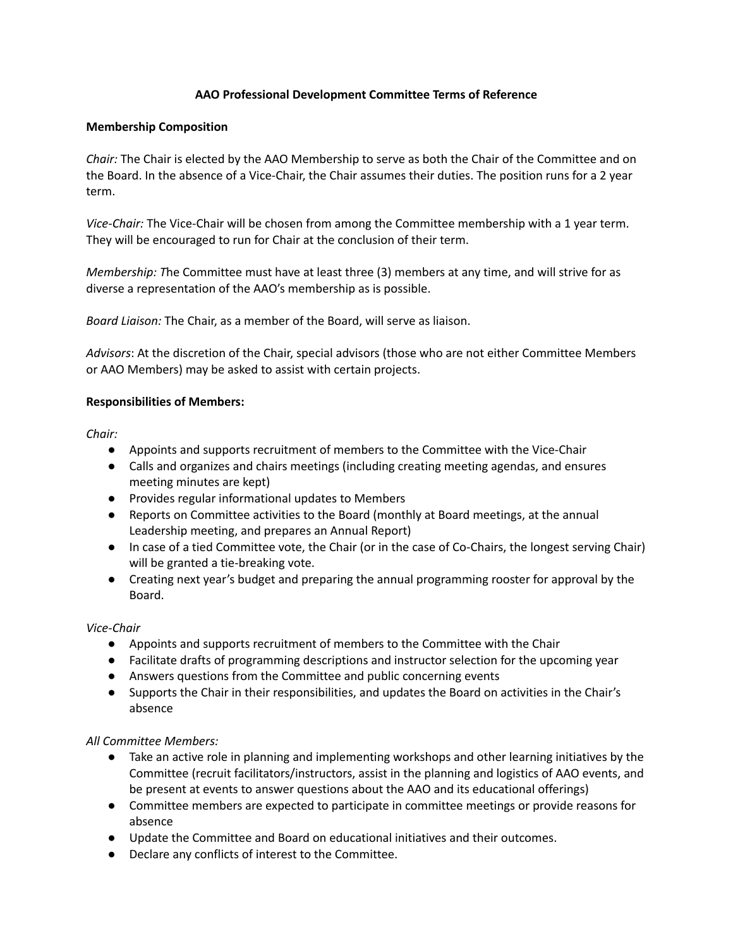## **AAO Professional Development Committee Terms of Reference**

### **Membership Composition**

*Chair:* The Chair is elected by the AAO Membership to serve as both the Chair of the Committee and on the Board. In the absence of a Vice-Chair, the Chair assumes their duties. The position runs for a 2 year term.

*Vice-Chair:* The Vice-Chair will be chosen from among the Committee membership with a 1 year term. They will be encouraged to run for Chair at the conclusion of their term.

*Membership: T*he Committee must have at least three (3) members at any time, and will strive for as diverse a representation of the AAO's membership as is possible.

*Board Liaison:* The Chair, as a member of the Board, will serve as liaison.

*Advisors*: At the discretion of the Chair, special advisors (those who are not either Committee Members or AAO Members) may be asked to assist with certain projects.

### **Responsibilities of Members:**

*Chair:*

- Appoints and supports recruitment of members to the Committee with the Vice-Chair
- Calls and organizes and chairs meetings (including creating meeting agendas, and ensures meeting minutes are kept)
- Provides regular informational updates to Members
- Reports on Committee activities to the Board (monthly at Board meetings, at the annual Leadership meeting, and prepares an Annual Report)
- In case of a tied Committee vote, the Chair (or in the case of Co-Chairs, the longest serving Chair) will be granted a tie-breaking vote.
- Creating next year's budget and preparing the annual programming rooster for approval by the Board.

### *Vice-Chair*

- Appoints and supports recruitment of members to the Committee with the Chair
- Facilitate drafts of programming descriptions and instructor selection for the upcoming year
- Answers questions from the Committee and public concerning events
- Supports the Chair in their responsibilities, and updates the Board on activities in the Chair's absence

### *All Committee Members:*

- Take an active role in planning and implementing workshops and other learning initiatives by the Committee (recruit facilitators/instructors, assist in the planning and logistics of AAO events, and be present at events to answer questions about the AAO and its educational offerings)
- Committee members are expected to participate in committee meetings or provide reasons for absence
- Update the Committee and Board on educational initiatives and their outcomes.
- Declare any conflicts of interest to the Committee.